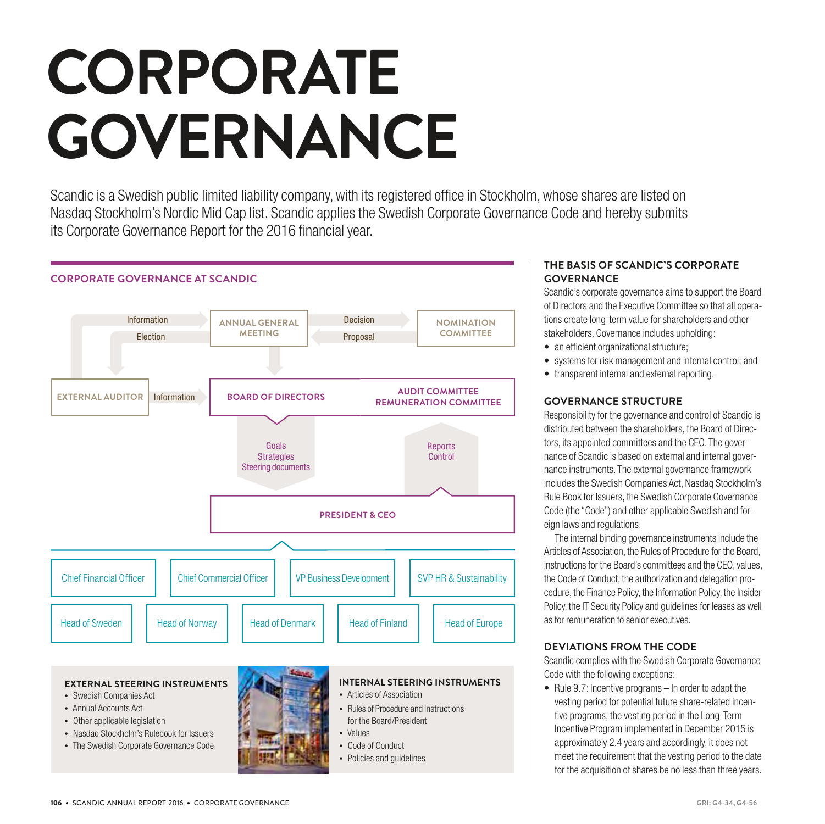# **CORPORATE GOVERNANCE**

Scandic is a Swedish public limited liability company, with its registered office in Stockholm, whose shares are listed on Nasdaq Stockholm's Nordic Mid Cap list. Scandic applies the Swedish Corporate Governance Code and hereby submits its Corporate Governance Report for the 2016 financial year.



# **THE BASIS OF SCANDIC'S CORPORATE GOVERNANCE**

Scandic's corporate governance aims to support the Board of Directors and the Executive Committee so that all operations create long-term value for shareholders and other stakeholders. Governance includes upholding:

- an efficient organizational structure;
- systems for risk management and internal control; and
- transparent internal and external reporting.

# **GOVERNANCE STRUCTURE**

Responsibility for the governance and control of Scandic is distributed between the shareholders, the Board of Directors, its appointed committees and the CEO. The governance of Scandic is based on external and internal governance instruments. The external governance framework includes the Swedish Companies Act, Nasdaq Stockholm's Rule Book for Issuers, the Swedish Corporate Governance Code (the "Code") and other applicable Swedish and foreign laws and regulations.

The internal binding governance instruments include the Articles of Association, the Rules of Procedure for the Board, instructions for the Board's committees and the CEO, values, the Code of Conduct, the authorization and delegation procedure, the Finance Policy, the Information Policy, the Insider Policy, the IT Security Policy and guidelines for leases as well as for remuneration to senior executives.

# **DEVIATIONS FROM THE CODE**

Scandic complies with the Swedish Corporate Governance Code with the following exceptions:

• Rule 9.7: Incentive programs – In order to adapt the vesting period for potential future share-related incentive programs, the vesting period in the Long-Term Incentive Program implemented in December 2015 is approximately 2.4 years and accordingly, it does not meet the requirement that the vesting period to the date for the acquisition of shares be no less than three years.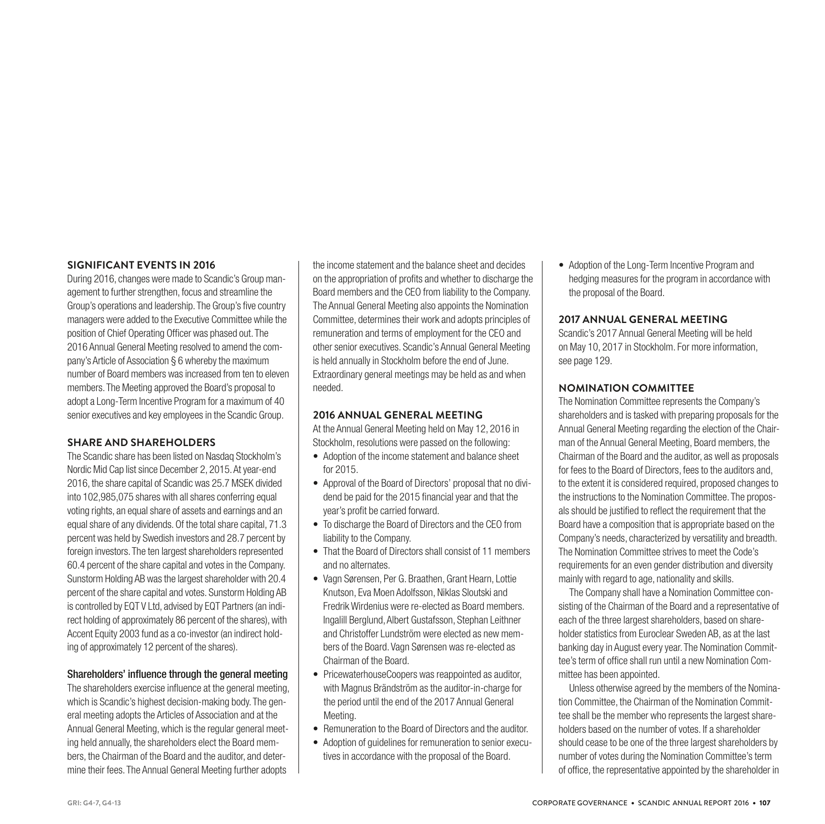### **SIGNIFICANT EVENTS IN 2016**

During 2016, changes were made to Scandic's Group management to further strengthen, focus and streamline the Group's operations and leadership. The Group's five country managers were added to the Executive Committee while the position of Chief Operating Officer was phased out. The 2016 Annual General Meeting resolved to amend the company's Article of Association § 6 whereby the maximum number of Board members was increased from ten to eleven members. The Meeting approved the Board's proposal to adopt a Long-Term Incentive Program for a maximum of 40 senior executives and key employees in the Scandic Group.

#### **SHARE AND SHAREHOLDERS**

The Scandic share has been listed on Nasdaq Stockholm's Nordic Mid Cap list since December 2, 2015. At year-end 2016, the share capital of Scandic was 25.7 MSEK divided into 102,985,075 shares with all shares conferring equal voting rights, an equal share of assets and earnings and an equal share of any dividends. Of the total share capital, 71.3 percent was held by Swedish investors and 28.7 percent by foreign investors. The ten largest shareholders represented 60.4 percent of the share capital and votes in the Company. Sunstorm Holding AB was the largest shareholder with 20.4 percent of the share capital and votes. Sunstorm Holding AB is controlled by EQT V Ltd, advised by EQT Partners (an indirect holding of approximately 86 percent of the shares), with Accent Equity 2003 fund as a co-investor (an indirect holding of approximately 12 percent of the shares).

#### Shareholders' influence through the general meeting

The shareholders exercise influence at the general meeting, which is Scandic's highest decision-making body. The general meeting adopts the Articles of Association and at the Annual General Meeting, which is the regular general meeting held annually, the shareholders elect the Board members, the Chairman of the Board and the auditor, and determine their fees. The Annual General Meeting further adopts

the income statement and the balance sheet and decides on the appropriation of profits and whether to discharge the Board members and the CEO from liability to the Company. The Annual General Meeting also appoints the Nomination Committee, determines their work and adopts principles of remuneration and terms of employment for the CEO and other senior executives. Scandic's Annual General Meeting is held annually in Stockholm before the end of June. Extraordinary general meetings may be held as and when needed.

#### **2016 ANNUAL GENERAL MEETING**

At the Annual General Meeting held on May 12, 2016 in Stockholm, resolutions were passed on the following:

- Adoption of the income statement and balance sheet for 2015.
- Approval of the Board of Directors' proposal that no dividend be paid for the 2015 financial year and that the year's profit be carried forward.
- To discharge the Board of Directors and the CEO from liability to the Company.
- That the Board of Directors shall consist of 11 members and no alternates.
- Vagn Sørensen, Per G. Braathen, Grant Hearn, Lottie Knutson, Eva Moen Adolfsson, Niklas Sloutski and Fredrik Wirdenius were re-elected as Board members. Ingalill Berglund, Albert Gustafsson, Stephan Leithner and Christoffer Lundström were elected as new members of the Board. Vagn Sørensen was re-elected as Chairman of the Board.
- PricewaterhouseCoopers was reappointed as auditor, with Magnus Brändström as the auditor-in-charge for the period until the end of the 2017 Annual General Meeting.
- Remuneration to the Board of Directors and the auditor.
- Adoption of guidelines for remuneration to senior executives in accordance with the proposal of the Board.

• Adoption of the Long-Term Incentive Program and hedging measures for the program in accordance with the proposal of the Board.

#### **2017 ANNUAL GENERAL MEETING**

Scandic's 2017 Annual General Meeting will be held on May 10, 2017 in Stockholm. For more information, see page 129.

#### **NOMINATION COMMITTEE**

The Nomination Committee represents the Company's shareholders and is tasked with preparing proposals for the Annual General Meeting regarding the election of the Chairman of the Annual General Meeting, Board members, the Chairman of the Board and the auditor, as well as proposals for fees to the Board of Directors, fees to the auditors and, to the extent it is considered required, proposed changes to the instructions to the Nomination Committee. The proposals should be justified to reflect the requirement that the Board have a composition that is appropriate based on the Company's needs, characterized by versatility and breadth. The Nomination Committee strives to meet the Code's requirements for an even gender distribution and diversity mainly with regard to age, nationality and skills.

The Company shall have a Nomination Committee consisting of the Chairman of the Board and a representative of each of the three largest shareholders, based on shareholder statistics from Euroclear Sweden AB, as at the last banking day in August every year. The Nomination Committee's term of office shall run until a new Nomination Committee has been appointed.

Unless otherwise agreed by the members of the Nomination Committee, the Chairman of the Nomination Committee shall be the member who represents the largest shareholders based on the number of votes. If a shareholder should cease to be one of the three largest shareholders by number of votes during the Nomination Committee's term of office, the representative appointed by the shareholder in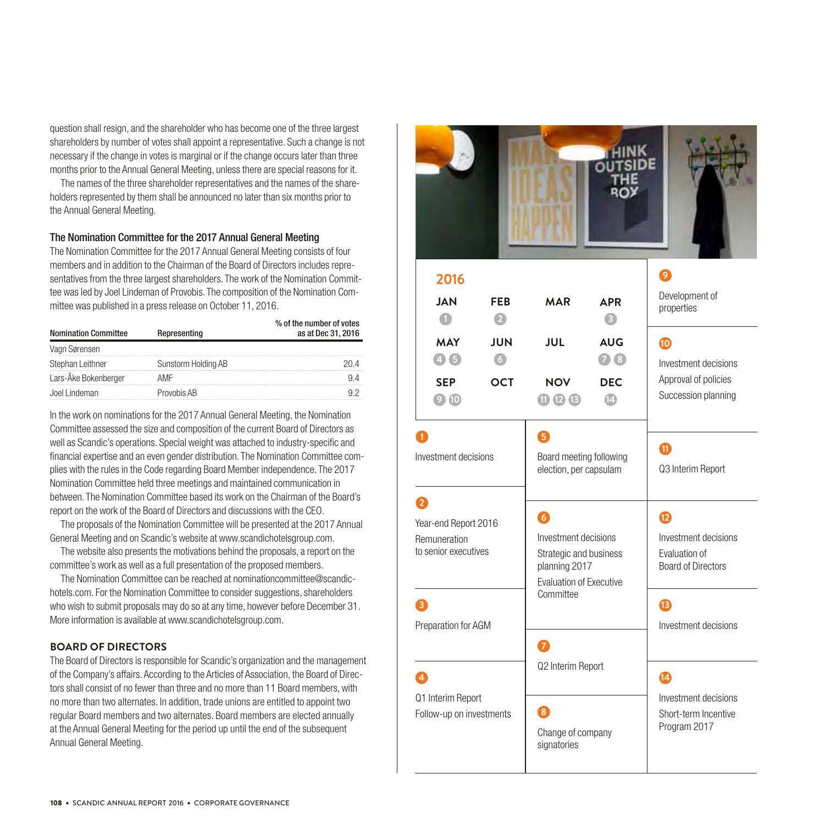question shall resign, and the shareholder who has become one of the three largest shareholders by number of votes shall appoint a representative. Such a change is not necessary if the change in votes is marginal or if the change occurs later than three months prior to the Annual General Meeting, unless there are special reasons for it.

The names of the three shareholder representatives and the names of the shareholders represented by them shall be announced no later than six months prior to the Annual General Meeting.

#### The Nomination Committee for the 2017 Annual General Meeting

The Nomination Committee for the 2017 Annual General Meeting consists of four members and in addition to the Chairman of the Board of Directors includes representatives from the three largest shareholders. The work of the Nomination Committee was led by Joel Lindeman of Provobis. The composition of the Nomination Committee was published in a press release on October 11, 2016.

| <b>Nomination Committee</b> | % of the number of votes<br>as at Dec 31, 2016 |  |  |
|-----------------------------|------------------------------------------------|--|--|
| Vagn Sørensen               |                                                |  |  |
| Stephan Leithner            | Sunstorm Holding AB                            |  |  |
| Lars-Åke Bokenberger        | AMF                                            |  |  |
| Joel Lindeman               | Provobis AB                                    |  |  |

In the work on nominations for the 2017 Annual General Meeting, the Nomination Committee assessed the size and composition of the current Board of Directors as well as Scandic's operations. Special weight was attached to industry-specific and financial expertise and an even gender distribution. The Nomination Committee complies with the rules in the Code regarding Board Member independence. The 2017 Nomination Committee held three meetings and maintained communication in between. The Nomination Committee based its work on the Chairman of the Board's report on the work of the Board of Directors and discussions with the CEO.

The proposals of the Nomination Committee will be presented at the 2017 Annual General Meeting and on Scandic's website at www.scandichotelsgroup.com.

The website also presents the motivations behind the proposals, a report on the committee's work as well as a full presentation of the proposed members.

The Nomination Committee can be reached at nominationcommittee@scandichotels.com. For the Nomination Committee to consider suggestions, shareholders who wish to submit proposals may do so at any time, however before December 31. More information is available at www.scandichotelsgroup.com.

#### **BOARD OF DIRECTORS**

The Board of Directors is responsible for Scandic's organization and the management of the Company's affairs. According to the Articles of Association, the Board of Directors shall consist of no fewer than three and no more than 11 Board members, with no more than two alternates. In addition, trade unions are entitled to appoint two regular Board members and two alternates. Board members are elected annually at the Annual General Meeting for the period up until the end of the subsequent Annual General Meeting.

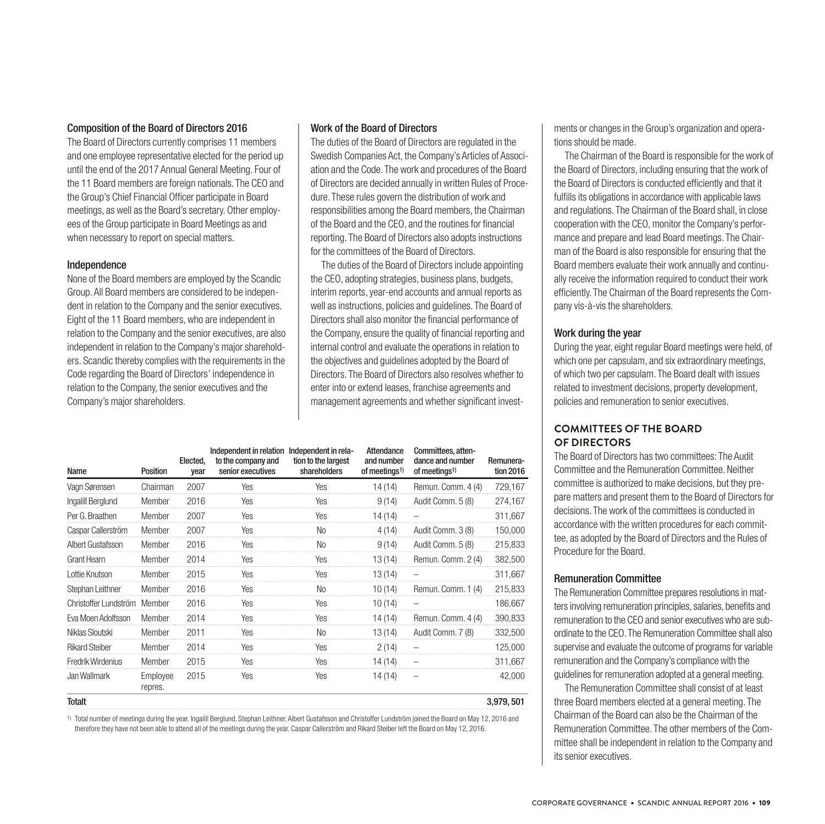#### Composition of the Board of Directors 2016

The Board of Directors currently comprises 11 members and one employee representative elected for the period up until the end of the 2017 Annual General Meeting. Four of the 11 Board members are foreign nationals. The CEO and the Group's Chief Financial Officer participate in Board meetings, as well as the Board's secretary. Other employees of the Group participate in Board Meetings as and when necessary to report on special matters.

#### Independence

None of the Board members are employed by the Scandic Group. All Board members are considered to be independent in relation to the Company and the senior executives. Eight of the 11 Board members, who are independent in relation to the Company and the senior executives, are also independent in relation to the Company's major shareholders. Scandic thereby complies with the requirements in the Code regarding the Board of Directors' independence in relation to the Company, the senior executives and the Company's major shareholders.

#### Work of the Board of Directors

The duties of the Board of Directors are regulated in the Swedish Companies Act, the Company's Articles of Association and the Code. The work and procedures of the Board of Directors are decided annually in written Rules of Procedure. These rules govern the distribution of work and responsibilities among the Board members, the Chairman of the Board and the CEO, and the routines for financial reporting. The Board of Directors also adopts instructions for the committees of the Board of Directors.

The duties of the Board of Directors include appointing the CEO, adopting strategies, business plans, budgets, interim reports, year-end accounts and annual reports as well as instructions, policies and guidelines. The Board of Directors shall also monitor the financial performance of the Company, ensure the quality of financial reporting and internal control and evaluate the operations in relation to the objectives and guidelines adopted by the Board of Directors. The Board of Directors also resolves whether to enter into or extend leases, franchise agreements and management agreements and whether significant invest-

| Name                         | Position            | Elected,<br>vear | Independent in relation Independent in rela-<br>to the company and<br>senior executives | tion to the largest<br>shareholders | Attendance<br>and number<br>of meetings <sup>1)</sup> | Committees, atten-<br>dance and number<br>of meetings <sup>1)</sup> | Remunera-<br>tion 2016 |
|------------------------------|---------------------|------------------|-----------------------------------------------------------------------------------------|-------------------------------------|-------------------------------------------------------|---------------------------------------------------------------------|------------------------|
| Vagn Sørensen                | Chairman            | 2007             | Yes                                                                                     | Yes                                 | 14 (14)                                               | Remun. Comm. 4 (4)                                                  | 729,167                |
| Ingalill Berglund            | Member              | 2016             | Yes                                                                                     | Yes                                 | 9(14)                                                 | Audit Comm. 5 (8)                                                   | 274,167                |
| Per G. Braathen              | Member              | 2007             | Yes                                                                                     | Yes                                 | 14 (14)                                               |                                                                     | 311,667                |
| Caspar Callerström           | Member              | 2007             | Yes                                                                                     | <b>No</b>                           | 4 (14)                                                | Audit Comm. 3 (8)                                                   | 150,000                |
| Albert Gustafsson            | Member              | 2016             | Yes                                                                                     | <b>No</b>                           | 9(14)                                                 | Audit Comm. 5 (8)                                                   | 215,833                |
| Grant Hearn                  | Member              | 2014             | Yes                                                                                     | Yes                                 | 13(14)                                                | Remun. Comm. 2 (4)                                                  | 382,500                |
| Lottie Knutson               | Member              | 2015             | Yes                                                                                     | Yes                                 | 13(14)                                                |                                                                     | 311,667                |
| Stephan Leithner             | Member              | 2016             | Yes                                                                                     | <b>No</b>                           | 10(14)                                                | Remun. Comm. 1 (4)                                                  | 215,833                |
| Christoffer Lundström Member |                     | 2016             | Yes                                                                                     | Yes                                 | 10(14)                                                | $\overline{\phantom{0}}$                                            | 186,667                |
| Eva Moen Adolfsson           | Member              | 2014             | Yes                                                                                     | Yes                                 | 14 (14)                                               | Remun. Comm. 4 (4)                                                  | 390,833                |
| Niklas Sloutski              | Member              | 2011             | Yes                                                                                     | <b>No</b>                           | 13(14)                                                | Audit Comm. 7 (8)                                                   | 332,500                |
| <b>Rikard Steiber</b>        | Member              | 2014             | Yes                                                                                     | Yes                                 | 2(14)                                                 | -                                                                   | 125,000                |
| Fredrik Wirdenius            | Member              | 2015             | Yes                                                                                     | Yes                                 | 14(14)                                                | -                                                                   | 311,667                |
| Jan Wallmark                 | Employee<br>repres. | 2015             | Yes                                                                                     | Yes                                 | 14 (14)                                               | -                                                                   | 42,000                 |
| Totalt                       |                     |                  |                                                                                         |                                     |                                                       |                                                                     | 3,979,501              |

1) Total number of meetings during the year. Ingalill Berglund, Stephan Leithner, Albert Gustafsson and Christoffer Lundström joined the Board on May 12, 2016 and therefore they have not been able to attend all of the meetings during the year. Caspar Callerström and Rikard Steiber left the Board on May 12, 2016.

ments or changes in the Group's organization and operations should be made.

The Chairman of the Board is responsible for the work of the Board of Directors, including ensuring that the work of the Board of Directors is conducted efficiently and that it fulfills its obligations in accordance with applicable laws and regulations. The Chairman of the Board shall, in close cooperation with the CEO, monitor the Company's performance and prepare and lead Board meetings. The Chairman of the Board is also responsible for ensuring that the Board members evaluate their work annually and continually receive the information required to conduct their work efficiently. The Chairman of the Board represents the Company vis-à-vis the shareholders.

# Work during the year

During the year, eight regular Board meetings were held, of which one per capsulam, and six extraordinary meetings, of which two per capsulam. The Board dealt with issues related to investment decisions, property development, policies and remuneration to senior executives.

# **COMMITTEES OF THE BOARD OF DIRECTORS**

The Board of Directors has two committees: The Audit Committee and the Remuneration Committee. Neither committee is authorized to make decisions, but they prepare matters and present them to the Board of Directors for decisions. The work of the committees is conducted in accordance with the written procedures for each committee, as adopted by the Board of Directors and the Rules of Procedure for the Board.

# Remuneration Committee

The Remuneration Committee prepares resolutions in matters involving remuneration principles, salaries, benefits and remuneration to the CEO and senior executives who are subordinate to the CEO. The Remuneration Committee shall also supervise and evaluate the outcome of programs for variable remuneration and the Company's compliance with the guidelines for remuneration adopted at a general meeting.

The Remuneration Committee shall consist of at least three Board members elected at a general meeting. The Chairman of the Board can also be the Chairman of the Remuneration Committee. The other members of the Committee shall be independent in relation to the Company and its senior executives.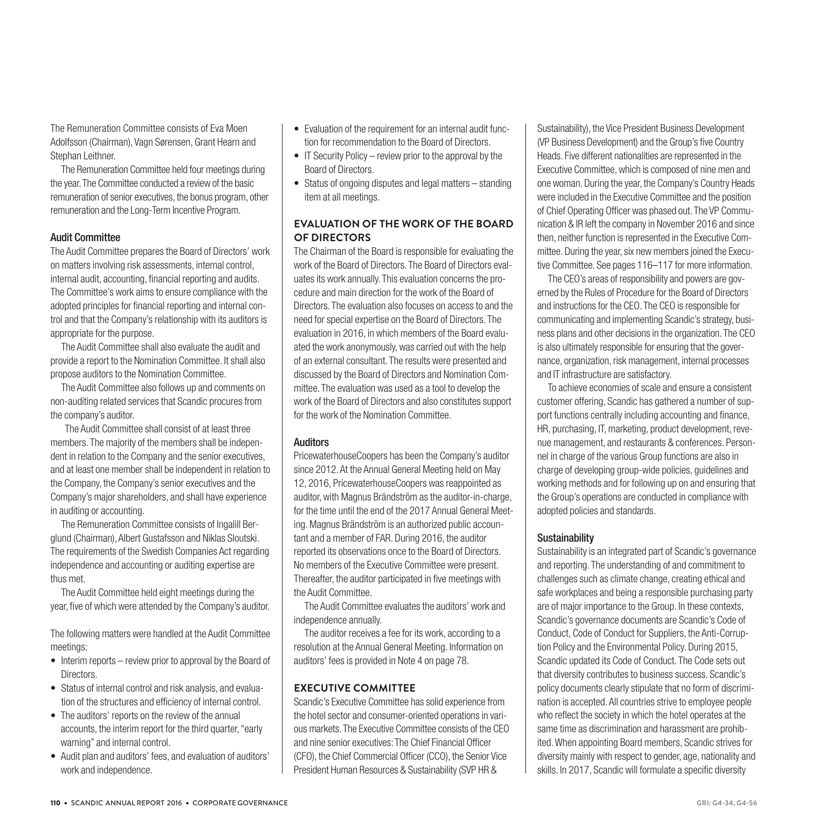The Remuneration Committee consists of Eva Moen Adolfsson (Chairman), Vagn Sørensen, Grant Hearn and Stephan Leithner.

The Remuneration Committee held four meetings during the year. The Committee conducted a review of the basic remuneration of senior executives, the bonus program, other remuneration and the Long-Term Incentive Program.

#### Audit Committee

The Audit Committee prepares the Board of Directors' work on matters involving risk assessments, internal control, internal audit, accounting, financial reporting and audits. The Committee's work aims to ensure compliance with the adopted principles for financial reporting and internal control and that the Company's relationship with its auditors is appropriate for the purpose.

The Audit Committee shall also evaluate the audit and provide a report to the Nomination Committee. It shall also propose auditors to the Nomination Committee.

The Audit Committee also follows up and comments on non-auditing related services that Scandic procures from the company's auditor.

 The Audit Committee shall consist of at least three members. The majority of the members shall be independent in relation to the Company and the senior executives, and at least one member shall be independent in relation to the Company, the Company's senior executives and the Company's major shareholders, and shall have experience in auditing or accounting.

The Remuneration Committee consists of Ingalill Berglund (Chairman), Albert Gustafsson and Niklas Sloutski. The requirements of the Swedish Companies Act regarding independence and accounting or auditing expertise are thus met.

The Audit Committee held eight meetings during the year, five of which were attended by the Company's auditor.

The following matters were handled at the Audit Committee meetings:

- Interim reports review prior to approval by the Board of Directors.
- Status of internal control and risk analysis, and evaluation of the structures and efficiency of internal control.
- The auditors' reports on the review of the annual accounts, the interim report for the third quarter, "early warning" and internal control.
- Audit plan and auditors' fees, and evaluation of auditors' work and independence.
- Evaluation of the requirement for an internal audit function for recommendation to the Board of Directors.
- IT Security Policy review prior to the approval by the Board of Directors.
- Status of ongoing disputes and legal matters standing item at all meetings.

# **EVALUATION OF THE WORK OF THE BOARD OF DIRECTORS**

The Chairman of the Board is responsible for evaluating the work of the Board of Directors. The Board of Directors evaluates its work annually. This evaluation concerns the procedure and main direction for the work of the Board of Directors. The evaluation also focuses on access to and the need for special expertise on the Board of Directors. The evaluation in 2016, in which members of the Board evaluated the work anonymously, was carried out with the help of an external consultant. The results were presented and discussed by the Board of Directors and Nomination Committee. The evaluation was used as a tool to develop the work of the Board of Directors and also constitutes support for the work of the Nomination Committee.

# **Auditors**

PricewaterhouseCoopers has been the Company's auditor since 2012. At the Annual General Meeting held on May 12, 2016, PricewaterhouseCoopers was reappointed as auditor, with Magnus Brändström as the auditor-in-charge, for the time until the end of the 2017 Annual General Meeting. Magnus Brändström is an authorized public accountant and a member of FAR. During 2016, the auditor reported its observations once to the Board of Directors. No members of the Executive Committee were present. Thereafter, the auditor participated in five meetings with the Audit Committee.

The Audit Committee evaluates the auditors' work and independence annually.

The auditor receives a fee for its work, according to a resolution at the Annual General Meeting. Information on auditors' fees is provided in Note 4 on page 78.

# **EXECUTIVE COMMITTEE**

Scandic's Executive Committee has solid experience from the hotel sector and consumer-oriented operations in various markets. The Executive Committee consists of the CEO and nine senior executives: The Chief Financial Officer (CFO), the Chief Commercial Officer (CCO), the Senior Vice President Human Resources & Sustainability (SVP HR &

Sustainability), the Vice President Business Development (VP Business Development) and the Group's five Country Heads. Five different nationalities are represented in the Executive Committee, which is composed of nine men and one woman. During the year, the Company's Country Heads were included in the Executive Committee and the position of Chief Operating Officer was phased out. The VP Communication & IR left the company in November 2016 and since then, neither function is represented in the Executive Committee. During the year, six new members joined the Executive Committee. See pages 116–117 for more information.

The CEO's areas of responsibility and powers are governed by the Rules of Procedure for the Board of Directors and instructions for the CEO. The CEO is responsible for communicating and implementing Scandic's strategy, business plans and other decisions in the organization. The CEO is also ultimately responsible for ensuring that the governance, organization, risk management, internal processes and IT infrastructure are satisfactory.

To achieve economies of scale and ensure a consistent customer offering, Scandic has gathered a number of support functions centrally including accounting and finance, HR, purchasing, IT, marketing, product development, revenue management, and restaurants & conferences. Personnel in charge of the various Group functions are also in charge of developing group-wide policies, guidelines and working methods and for following up on and ensuring that the Group's operations are conducted in compliance with adopted policies and standards.

# **Sustainability**

Sustainability is an integrated part of Scandic's governance and reporting. The understanding of and commitment to challenges such as climate change, creating ethical and safe workplaces and being a responsible purchasing party are of major importance to the Group. In these contexts, Scandic's governance documents are Scandic's Code of Conduct, Code of Conduct for Suppliers, the Anti-Corruption Policy and the Environmental Policy. During 2015, Scandic updated its Code of Conduct. The Code sets out that diversity contributes to business success. Scandic's policy documents clearly stipulate that no form of discrimination is accepted. All countries strive to employee people who reflect the society in which the hotel operates at the same time as discrimination and harassment are prohibited. When appointing Board members, Scandic strives for diversity mainly with respect to gender, age, nationality and skills. In 2017, Scandic will formulate a specific diversity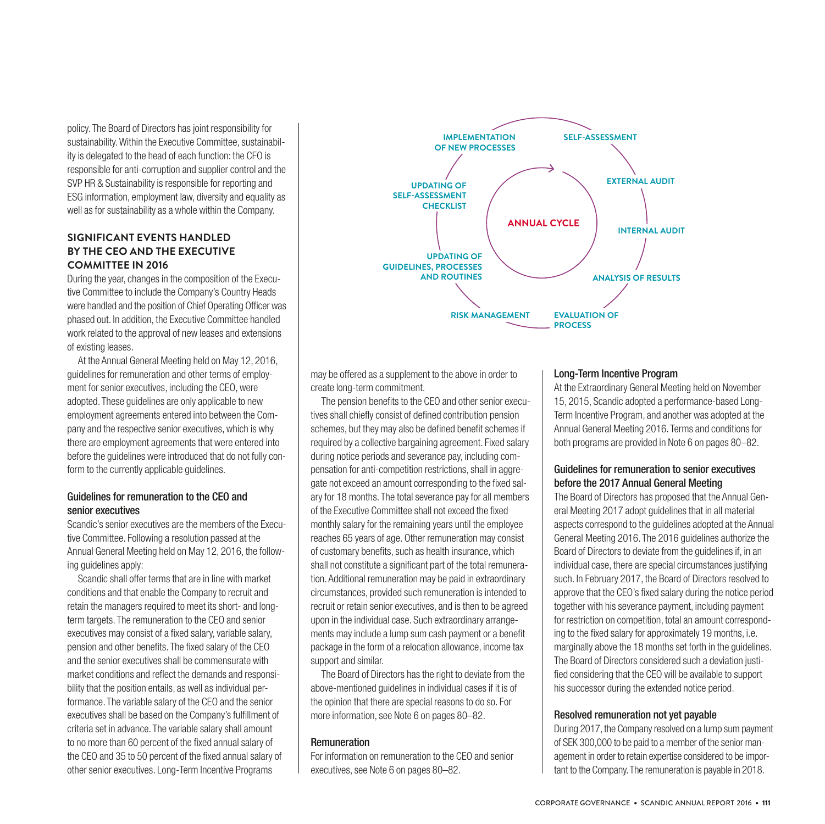policy. The Board of Directors has joint responsibility for sustainability. Within the Executive Committee, sustainability is delegated to the head of each function: the CFO is responsible for anti-corruption and supplier control and the SVP HR & Sustainability is responsible for reporting and ESG information, employment law, diversity and equality as well as for sustainability as a whole within the Company.

# **SIGNIFICANT EVENTS HANDLED BY THE CEO AND THE EXECUTIVE COMMITTEE IN 2016**

During the year, changes in the composition of the Executive Committee to include the Company's Country Heads were handled and the position of Chief Operating Officer was phased out. In addition, the Executive Committee handled work related to the approval of new leases and extensions of existing leases.

At the Annual General Meeting held on May 12, 2016, guidelines for remuneration and other terms of employment for senior executives, including the CEO, were adopted. These guidelines are only applicable to new employment agreements entered into between the Company and the respective senior executives, which is why there are employment agreements that were entered into before the guidelines were introduced that do not fully conform to the currently applicable guidelines.

# Guidelines for remuneration to the CEO and senior executives

Scandic's senior executives are the members of the Executive Committee. Following a resolution passed at the Annual General Meeting held on May 12, 2016, the following guidelines apply:

Scandic shall offer terms that are in line with market conditions and that enable the Company to recruit and retain the managers required to meet its short- and longterm targets. The remuneration to the CEO and senior executives may consist of a fixed salary, variable salary, pension and other benefits. The fixed salary of the CEO and the senior executives shall be commensurate with market conditions and reflect the demands and responsibility that the position entails, as well as individual performance. The variable salary of the CEO and the senior executives shall be based on the Company's fulfillment of criteria set in advance. The variable salary shall amount to no more than 60 percent of the fixed annual salary of the CEO and 35 to 50 percent of the fixed annual salary of other senior executives. Long-Term Incentive Programs



may be offered as a supplement to the above in order to create long-term commitment.

The pension benefits to the CEO and other senior executives shall chiefly consist of defined contribution pension schemes, but they may also be defined benefit schemes if required by a collective bargaining agreement. Fixed salary during notice periods and severance pay, including compensation for anti-competition restrictions, shall in aggregate not exceed an amount corresponding to the fixed salary for 18 months. The total severance pay for all members of the Executive Committee shall not exceed the fixed monthly salary for the remaining years until the employee reaches 65 years of age. Other remuneration may consist of customary benefits, such as health insurance, which shall not constitute a significant part of the total remuneration. Additional remuneration may be paid in extraordinary circumstances, provided such remuneration is intended to recruit or retain senior executives, and is then to be agreed upon in the individual case. Such extraordinary arrangements may include a lump sum cash payment or a benefit package in the form of a relocation allowance, income tax support and similar.

The Board of Directors has the right to deviate from the above-mentioned guidelines in individual cases if it is of the opinion that there are special reasons to do so. For more information, see Note 6 on pages 80–82.

# **Remuneration**

For information on remuneration to the CEO and senior executives, see Note 6 on pages 80–82.

#### Long-Term Incentive Program

At the Extraordinary General Meeting held on November 15, 2015, Scandic adopted a performance-based Long-Term Incentive Program, and another was adopted at the Annual General Meeting 2016. Terms and conditions for both programs are provided in Note 6 on pages 80–82.

# Guidelines for remuneration to senior executives before the 2017 Annual General Meeting

The Board of Directors has proposed that the Annual General Meeting 2017 adopt guidelines that in all material aspects correspond to the guidelines adopted at the Annual General Meeting 2016. The 2016 guidelines authorize the Board of Directors to deviate from the guidelines if, in an individual case, there are special circumstances justifying such. In February 2017, the Board of Directors resolved to approve that the CEO's fixed salary during the notice period together with his severance payment, including payment for restriction on competition, total an amount corresponding to the fixed salary for approximately 19 months, i.e. marginally above the 18 months set forth in the guidelines. The Board of Directors considered such a deviation justified considering that the CEO will be available to support his successor during the extended notice period.

# Resolved remuneration not yet payable

During 2017, the Company resolved on a lump sum payment of SEK 300,000 to be paid to a member of the senior management in order to retain expertise considered to be important to the Company. The remuneration is payable in 2018.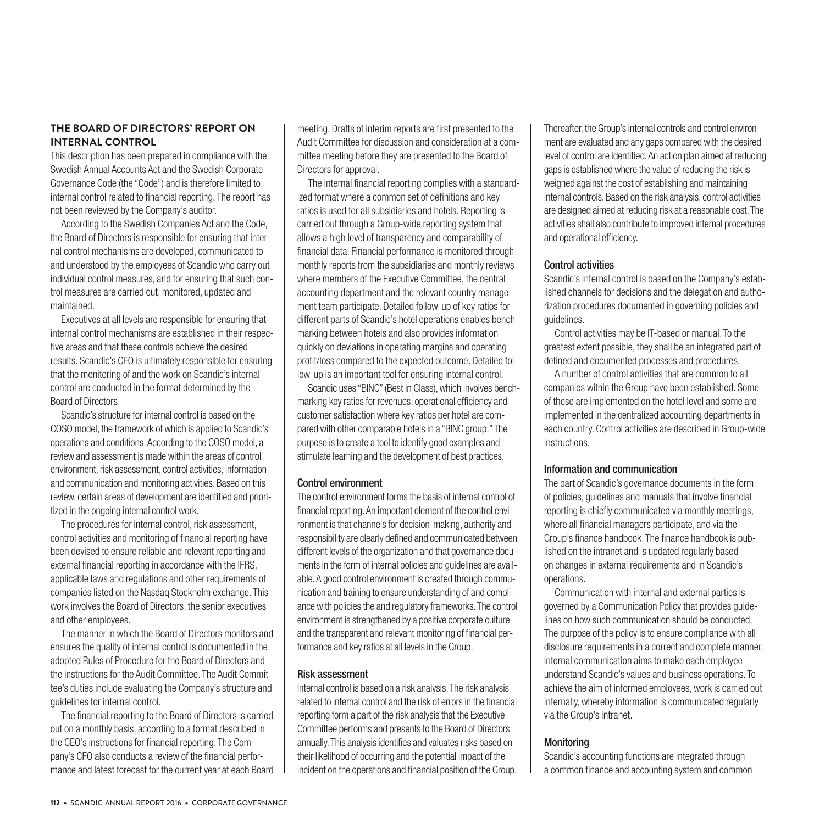# **THE BOARD OF DIRECTORS' REPORT ON INTERNAL CONTROL**

This description has been prepared in compliance with the Swedish Annual Accounts Act and the Swedish Corporate Governance Code (the "Code") and is therefore limited to internal control related to financial reporting. The report has not been reviewed by the Company's auditor.

According to the Swedish Companies Act and the Code, the Board of Directors is responsible for ensuring that internal control mechanisms are developed, communicated to and understood by the employees of Scandic who carry out individual control measures, and for ensuring that such control measures are carried out, monitored, updated and maintained.

Executives at all levels are responsible for ensuring that internal control mechanisms are established in their respective areas and that these controls achieve the desired results. Scandic's CFO is ultimately responsible for ensuring that the monitoring of and the work on Scandic's internal control are conducted in the format determined by the Board of Directors.

Scandic's structure for internal control is based on the COSO model, the framework of which is applied to Scandic's operations and conditions. According to the COSO model, a review and assessment is made within the areas of control environment, risk assessment, control activities, information and communication and monitoring activities. Based on this review, certain areas of development are identified and prioritized in the ongoing internal control work.

The procedures for internal control, risk assessment, control activities and monitoring of financial reporting have been devised to ensure reliable and relevant reporting and external financial reporting in accordance with the IFRS, applicable laws and regulations and other requirements of companies listed on the Nasdaq Stockholm exchange. This work involves the Board of Directors, the senior executives and other employees.

The manner in which the Board of Directors monitors and ensures the quality of internal control is documented in the adopted Rules of Procedure for the Board of Directors and the instructions for the Audit Committee. The Audit Committee's duties include evaluating the Company's structure and guidelines for internal control.

The financial reporting to the Board of Directors is carried out on a monthly basis, according to a format described in the CEO's instructions for financial reporting. The Company's CFO also conducts a review of the financial performance and latest forecast for the current year at each Board meeting. Drafts of interim reports are first presented to the Audit Committee for discussion and consideration at a committee meeting before they are presented to the Board of Directors for approval.

The internal financial reporting complies with a standardized format where a common set of definitions and key ratios is used for all subsidiaries and hotels. Reporting is carried out through a Group-wide reporting system that allows a high level of transparency and comparability of financial data. Financial performance is monitored through monthly reports from the subsidiaries and monthly reviews where members of the Executive Committee, the central accounting department and the relevant country management team participate. Detailed follow-up of key ratios for different parts of Scandic's hotel operations enables benchmarking between hotels and also provides information quickly on deviations in operating margins and operating profit/loss compared to the expected outcome. Detailed follow-up is an important tool for ensuring internal control.

Scandic uses "BINC" (Best in Class), which involves benchmarking key ratios for revenues, operational efficiency and customer satisfaction where key ratios per hotel are compared with other comparable hotels in a "BINC group." The purpose is to create a tool to identify good examples and stimulate learning and the development of best practices.

#### Control environment

The control environment forms the basis of internal control of financial reporting. An important element of the control environment is that channels for decision-making, authority and responsibility are clearly defined and communicated between different levels of the organization and that governance documents in the form of internal policies and guidelines are available. A good control environment is created through communication and training to ensure understanding of and compliance with policies the and regulatory frameworks. The control environment is strengthened by a positive corporate culture and the transparent and relevant monitoring of financial performance and key ratios at all levels in the Group.

#### Risk assessment

Internal control is based on a risk analysis. The risk analysis related to internal control and the risk of errors in the financial reporting form a part of the risk analysis that the Executive Committee performs and presents to the Board of Directors annually. This analysis identifies and valuates risks based on their likelihood of occurring and the potential impact of the incident on the operations and financial position of the Group. Thereafter, the Group's internal controls and control environment are evaluated and any gaps compared with the desired level of control are identified. An action plan aimed at reducing gaps is established where the value of reducing the risk is weighed against the cost of establishing and maintaining internal controls. Based on the risk analysis, control activities are designed aimed at reducing risk at a reasonable cost. The activities shall also contribute to improved internal procedures and operational efficiency.

#### Control activities

Scandic's internal control is based on the Company's established channels for decisions and the delegation and authorization procedures documented in governing policies and guidelines.

Control activities may be IT-based or manual. To the greatest extent possible, they shall be an integrated part of defined and documented processes and procedures.

A number of control activities that are common to all companies within the Group have been established. Some of these are implemented on the hotel level and some are implemented in the centralized accounting departments in each country. Control activities are described in Group-wide instructions.

#### Information and communication

The part of Scandic's governance documents in the form of policies, guidelines and manuals that involve financial reporting is chiefly communicated via monthly meetings, where all financial managers participate, and via the Group's finance handbook. The finance handbook is published on the intranet and is updated regularly based on changes in external requirements and in Scandic's operations.

Communication with internal and external parties is governed by a Communication Policy that provides guidelines on how such communication should be conducted. The purpose of the policy is to ensure compliance with all disclosure requirements in a correct and complete manner. Internal communication aims to make each employee understand Scandic's values and business operations. To achieve the aim of informed employees, work is carried out internally, whereby information is communicated regularly via the Group's intranet.

# Monitoring

Scandic's accounting functions are integrated through a common finance and accounting system and common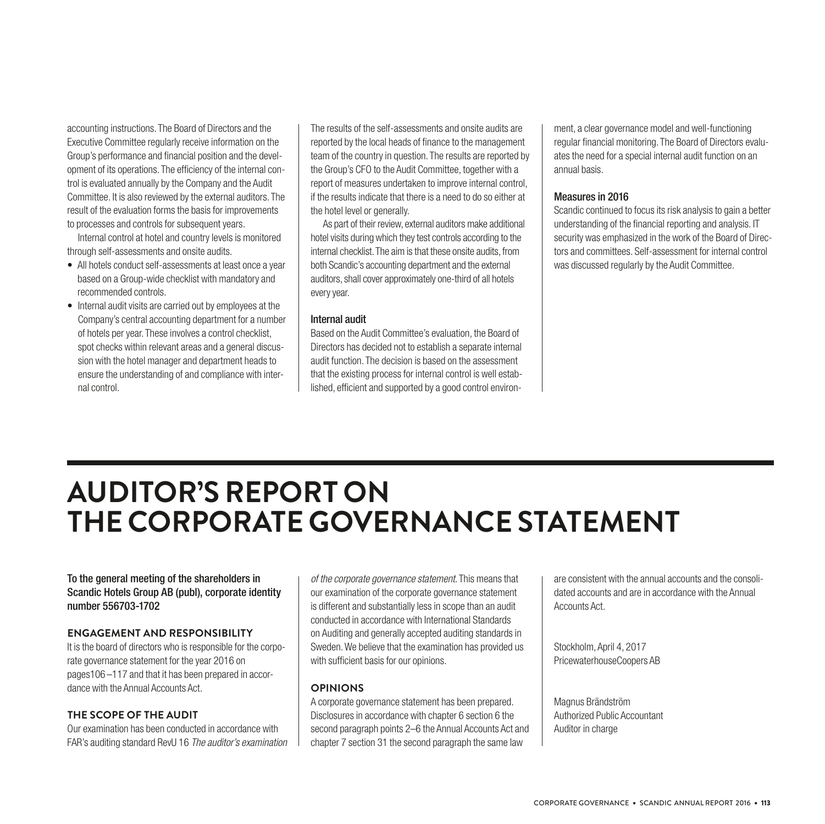accounting instructions. The Board of Directors and the Executive Committee regularly receive information on the Group's performance and financial position and the development of its operations. The efficiency of the internal control is evaluated annually by the Company and the Audit Committee. It is also reviewed by the external auditors. The result of the evaluation forms the basis for improvements to processes and controls for subsequent years.

Internal control at hotel and country levels is monitored through self-assessments and onsite audits.

- All hotels conduct self-assessments at least once a year based on a Group-wide checklist with mandatory and recommended controls.
- Internal audit visits are carried out by employees at the Company's central accounting department for a number of hotels per year. These involves a control checklist, spot checks within relevant areas and a general discussion with the hotel manager and department heads to ensure the understanding of and compliance with internal control.

The results of the self-assessments and onsite audits are reported by the local heads of finance to the management team of the country in question. The results are reported by the Group's CFO to the Audit Committee, together with a report of measures undertaken to improve internal control, if the results indicate that there is a need to do so either at the hotel level or generally.

 As part of their review, external auditors make additional hotel visits during which they test controls according to the internal checklist. The aim is that these onsite audits, from both Scandic's accounting department and the external auditors, shall cover approximately one-third of all hotels every year.

#### Internal audit

Based on the Audit Committee's evaluation, the Board of Directors has decided not to establish a separate internal audit function. The decision is based on the assessment that the existing process for internal control is well established, efficient and supported by a good control environ-

ment, a clear governance model and well-functioning regular financial monitoring. The Board of Directors evaluates the need for a special internal audit function on an annual basis.

#### Measures in 2016

Scandic continued to focus its risk analysis to gain a better understanding of the financial reporting and analysis. IT security was emphasized in the work of the Board of Directors and committees. Self-assessment for internal control was discussed regularly by the Audit Committee.

# **AUDITOR'S REPORT ON THE CORPORATE GOVERNANCE STATEMENT**

# To the general meeting of the shareholders in Scandic Hotels Group AB (publ), corporate identity number 556703-1702

#### **ENGAGEMENT AND RESPONSIBILITY**

It is the board of directors who is responsible for the corporate governance statement for the year 2016 on pages106–117 and that it has been prepared in accordance with the Annual Accounts Act.

### **THE SCOPE OF THE AUDIT**

Our examination has been conducted in accordance with FAR's auditing standard RevU 16 *The auditor's examination* 

*of the corporate governance statement*. This means that our examination of the corporate governance statement is different and substantially less in scope than an audit conducted in accordance with International Standards on Auditing and generally accepted auditing standards in Sweden. We believe that the examination has provided us with sufficient basis for our opinions.

# **OPINIONS**

A corporate governance statement has been prepared. Disclosures in accordance with chapter 6 section 6 the second paragraph points 2–6 the Annual Accounts Act and chapter 7 section 31 the second paragraph the same law

are consistent with the annual accounts and the consolidated accounts and are in accordance with the Annual Accounts Act.

Stockholm, April 4, 2017 PricewaterhouseCoopers AB

Magnus Brändström Authorized Public Accountant Auditor in charge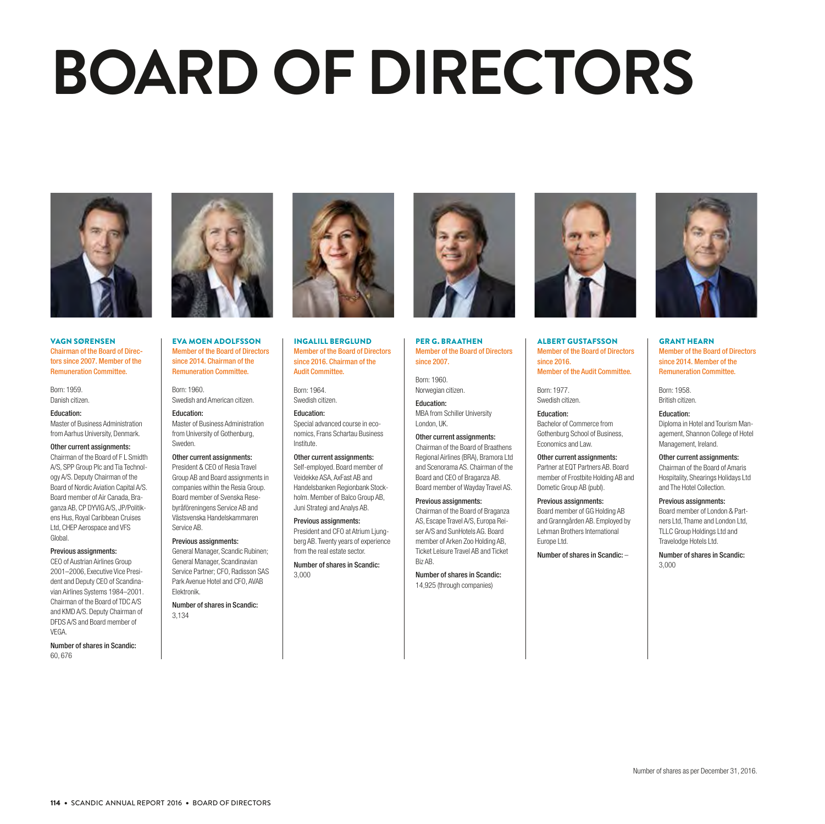# **BOARD OF DIRECTORS**



#### VAGN SØRENSEN Chairman of the Board of Directors since 2007. Member of the Remuneration Committee.

Born: 1959. Danish citizen.

#### Education:

Master of Business Administration from Aarhus University, Denmark.

#### Other current assignments:

Chairman of the Board of F L Smidth A/S, SPP Group Plc and Tia Technology A/S. Deputy Chairman of the Board of Nordic Aviation Capital A/S. Board member of Air Canada, Braganza AB, CP DYVIG A/S, JP/Politikens Hus, Royal Caribbean Cruises Ltd, CHEP Aerospace and VFS Global.

#### Previous assignments:

CEO of Austrian Airlines Group 2001–2006, Executive Vice President and Deputy CEO of Scandinavian Airlines Systems 1984–2001. Chairman of the Board of TDC A/S and KMD A/S. Deputy Chairman of DFDS A/S and Board member of **VEGA** 

Number of shares in Scandic: 60, 676



EVA MOEN ADOLFSSON Member of the Board of Directors since 2014. Chairman of the Remuneration Committee.

Born: 1960. Swedish and American citizen.

#### Education:

Master of Business Administration from University of Gothenburg, Sweden.

#### Other current assignments:

President & CEO of Resia Travel Group AB and Board assignments in companies within the Resia Group. Board member of Svenska Resebyråföreningens Service AB and Västsvenska Handelskammaren Service AB.

#### Previous assignments:

General Manager, Scandic Rubinen; General Manager, Scandinavian Service Partner; CFO, Radisson SAS Park Avenue Hotel and CFO, AVAB Elektronik.

Number of shares in Scandic: 3,134



INGALILL BERGLUND Member of the Board of Directors since 2016. Chairman of the Audit Committee.

Born: 1964. Swedish citizen.

Education: Special advanced course in economics, Frans Schartau Business

Institute. Other current assignments: Self-employed. Board member of Veidekke ASA, AxFast AB and Handelsbanken Regionbank Stockholm. Member of Balco Group AB, Juni Strategi and Analys AB.

Previous assignments: President and CFO at Atrium Liungberg AB. Twenty years of experience from the real estate sector.

Number of shares in Scandic: 3,000



PER G. BRAATHEN Member of the Board of Directors since 2007.

Born: 1960. Norwegian citizen.

MBA from Schiller University London, UK.

Other current assignments: Chairman of the Board of Braathens

Regional Airlines (BRA), Bramora Ltd and Scenorama AS. Chairman of the Board and CEO of Braganza AB. Board member of Wayday Travel AS.

Previous assignments: Chairman of the Board of Braganza AS, Escape Travel A/S, Europa Reiser A/S and SunHotels AG. Board member of Arken Zoo Holding AB, Ticket Leisure Travel AB and Ticket

Number of shares in Scandic: 14,925 (through companies)

Biz AB.



ALBERT GUSTAFSSON Member of the Board of Directors since 2016. Member of the Audit Committee.

Born: 1977. Swedish citizen.

Education: Bachelor of Commerce from Gothenburg School of Business, Economics and Law.

Other current assignments: Partner at EQT Partners AB. Board member of Frostbite Holding AB and Dometic Group AB (publ).

Previous assignments: Board member of GG Holding AB and Granngården AB. Employed by Lehman Brothers International Europe Ltd.

Number of shares in Scandic: –



GRANT HEARN Member of the Board of Directors since 2014. Member of the Remuneration Committee.

Born: 1958. British citizen.

Education: Diploma in Hotel and Tourism Management, Shannon College of Hotel Management, Ireland.

Other current assignments: Chairman of the Board of Amaris Hospitality, Shearings Holidays Ltd and The Hotel Collection.

Previous assignments: Board member of London & Partners Ltd, Thame and London Ltd, TLLC Group Holdings Ltd and Travelodge Hotels Ltd.

Number of shares in Scandic: 3,000

Education: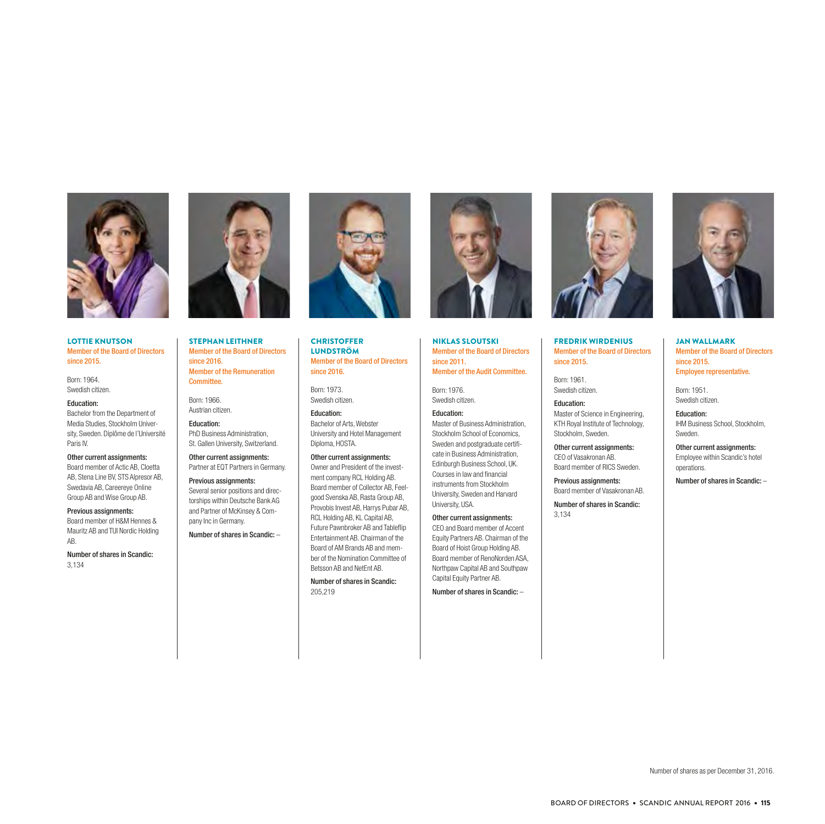

#### LOTTIE KNUTSON Member of the Board of Directors since 2015.

Born: 1964. Swedish citizen.

Education: Bachelor from the Department of Media Studies, Stockholm University, Sweden. Diplôme de l'Université Paris IV.

#### Other current assignments:

Board member of Actic AB, Cloetta AB, Stena Line BV, STS Alpresor AB, Swedavia AB, Careereye Online Group AB and Wise Group AB.

#### Previous assignments:

Board member of H&M Hennes & Mauritz AB and TUI Nordic Holding AB.

Number of shares in Scandic: 3,134



STEPHAN LEITHNER Member of the Board of Directors since 2016. Member of the Remuneration Committee.

Born: 1966. Austrian citizen.

Education: PhD Business Administration, St. Gallen University, Switzerland.

Other current assignments: Partner at EQT Partners in Germany.

Previous assignments: Several senior positions and directorships within Deutsche Bank AG and Partner of McKinsey & Company Inc in Germany.

Number of shares in Scandic: –

Member of the Board of Directors since 2016. Born: 1973. Swedish citizen. Education:

**CHRISTOFFER** LUNDSTRÖM

Bachelor of Arts, Webster University and Hotel Management Diploma, HOSTA.

#### Other current assignments:

Owner and President of the investment company RCL Holding AB. Board member of Collector AB, Feelgood Svenska AB, Rasta Group AB, Provobis Invest AB, Harrys Pubar AB, RCL Holding AB, KL Capital AB, Future Pawnbroker AB and Tableflip Entertainment AB. Chairman of the Board of AM Brands AB and member of the Nomination Committee of Betsson AB and NetEnt AB.

Number of shares in Scandic: 205,219



NIKLAS SLOUTSKI Member of the Board of Directors since 2011. Member of the Audit Committee.

Born: 1976. Swedish citizen.

#### Education:

Master of Business Administration, Stockholm School of Economics, Sweden and postgraduate certificate in Business Administration, Edinburgh Business School, UK. Courses in law and financial instruments from Stockholm University, Sweden and Harvard University, USA.

Other current assignments: CEO and Board member of Accent Equity Partners AB. Chairman of the Board of Hoist Group Holding AB. Board member of RenoNorden ASA, Northpaw Capital AB and Southpaw Capital Equity Partner AB.

Number of shares in Scandic: –



FREDRIK WIRDENIUS Member of the Board of Directors since 2015.

Born: 1961. Swedish citizen.

#### Education:

Master of Science in Engineering, KTH Royal Institute of Technology, Stockholm, Sweden.

Other current assignments: CEO of Vasakronan AB. Board member of RICS Sweden.

Previous assignments: Board member of Vasakronan AB.

Number of shares in Scandic: 3,134



JAN WALLMARK Member of the Board of Directors since 2015. Employee representative.

Born: 1951. Swedish citizen.

Education: IHM Business School, Stockholm, Sweden.

Other current assignments: Employee within Scandic's hotel operations.

Number of shares in Scandic: –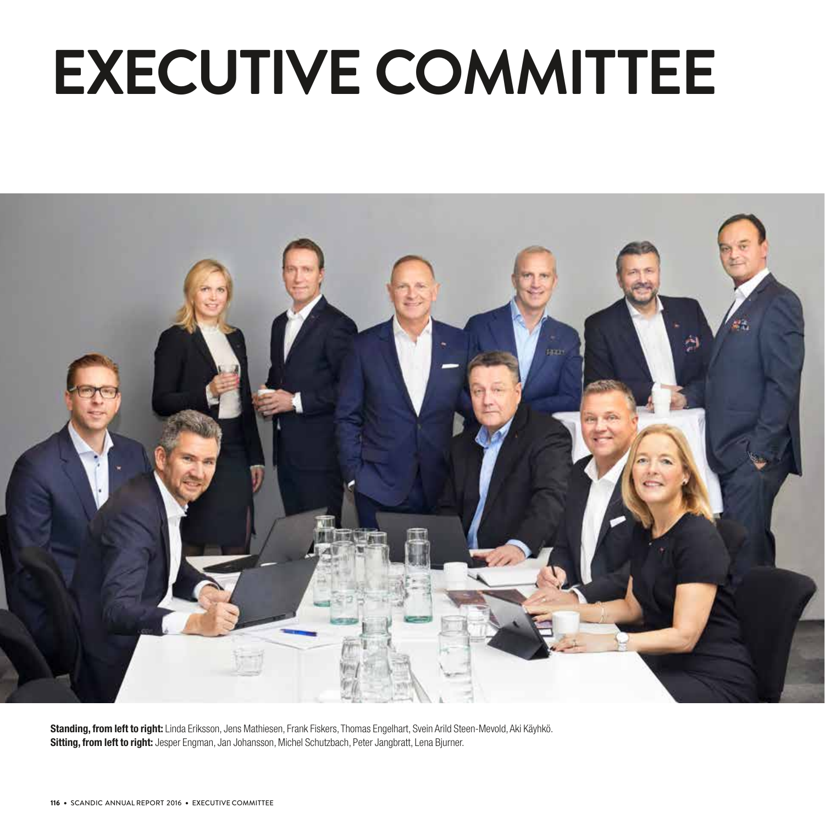# **EXECUTIVE COMMITTEE**



Standing, from left to right: Linda Eriksson, Jens Mathiesen, Frank Fiskers, Thomas Engelhart, Svein Arild Steen-Mevold, Aki Käyhkö. Sitting, from left to right: Jesper Engman, Jan Johansson, Michel Schutzbach, Peter Jangbratt, Lena Bjurner.